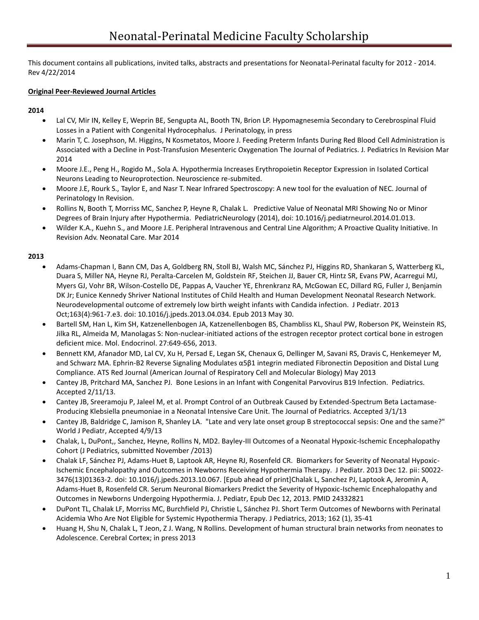This document contains all publications, invited talks, abstracts and presentations for Neonatal-Perinatal faculty for 2012 - 2014. Rev 4/22/2014

### **Original Peer-Reviewed Journal Articles**

### **2014**

- Lal CV, Mir IN, Kelley E, Weprin BE, Sengupta AL, Booth TN, Brion LP. Hypomagnesemia Secondary to Cerebrospinal Fluid Losses in a Patient with Congenital Hydrocephalus. J Perinatology, in press
- Marin T, C. Josephson, M. Higgins, N Kosmetatos, Moore J. Feeding Preterm Infants During Red Blood Cell Administration is Associated with a Decline in Post-Transfusion Mesenteric Oxygenation The Journal of Pediatrics. J. Pediatrics In Revision Mar 2014
- Moore J.E., Peng H., Rogido M., Sola A. Hypothermia Increases Erythropoietin Receptor Expression in Isolated Cortical Neurons Leading to Neuroprotection. Neuroscience re-submited.
- Moore J.E, Rourk S., Taylor E, and Nasr T. Near Infrared Spectroscopy: A new tool for the evaluation of NEC. Journal of Perinatology In Revision.
- Rollins N, Booth T, Morriss MC, Sanchez P, Heyne R, Chalak L. Predictive Value of Neonatal MRI Showing No or Minor Degrees of Brain Injury after Hypothermia. PediatricNeurology (2014), doi: 10.1016/j.pediatrneurol.2014.01.013.
- Wilder K.A., Kuehn S., and Moore J.E. Peripheral Intravenous and Central Line Algorithm; A Proactive Quality Initiative. In Revision Adv. Neonatal Care. Mar 2014

- Adams-Chapman I, Bann CM, Das A, Goldberg RN, Stoll BJ, Walsh MC, Sánchez PJ, Higgins RD, Shankaran S, Watterberg KL, Duara S, Miller NA, Heyne RJ, Peralta-Carcelen M, Goldstein RF, Steichen JJ, Bauer CR, Hintz SR, Evans PW, Acarregui MJ, Myers GJ, Vohr BR, Wilson-Costello DE, Pappas A, Vaucher YE, Ehrenkranz RA, McGowan EC, Dillard RG, Fuller J, Benjamin DK Jr; Eunice Kennedy Shriver National Institutes of Child Health and Human Development Neonatal Research Network. Neurodevelopmental outcome of extremely low birth weight infants with Candida infection. J Pediatr. 2013 Oct;163(4):961-7.e3. doi: 10.1016/j.jpeds.2013.04.034. Epub 2013 May 30.
- Bartell SM, Han L, Kim SH, Katzenellenbogen JA, Katzenellenbogen BS, Chambliss KL, Shaul PW, Roberson PK, Weinstein RS, Jilka RL, Almeida M, Manolagas S: Non-nuclear-initiated actions of the estrogen receptor protect cortical bone in estrogen deficient mice. Mol. Endocrinol. 27:649-656, 2013.
- Bennett KM, Afanador MD, Lal CV, Xu H, Persad E, Legan SK, Chenaux G, Dellinger M, Savani RS, Dravis C, Henkemeyer M, and Schwarz MA. Ephrin-B2 Reverse Signaling Modulates α5β1 integrin mediated Fibronectin Deposition and Distal Lung Compliance. ATS Red Journal (American Journal of Respiratory Cell and Molecular Biology) May 2013
- Cantey JB, Pritchard MA, Sanchez PJ. Bone Lesions in an Infant with Congenital Parvovirus B19 Infection. Pediatrics. Accepted 2/11/13.
- Cantey JB, Sreeramoju P, Jaleel M, et al. Prompt Control of an Outbreak Caused by Extended-Spectrum Beta Lactamase-Producing Klebsiella pneumoniae in a Neonatal Intensive Care Unit. The Journal of Pediatrics. Accepted 3/1/13
- Cantey JB, Baldridge C, Jamison R, Shanley LA. "Late and very late onset group B streptococcal sepsis: One and the same?" World J Pediatr, Accepted 4/9/13
- Chalak, L, DuPont,, Sanchez, Heyne, Rollins N, MD2. Bayley-III Outcomes of a Neonatal Hypoxic-Ischemic Encephalopathy Cohort (J Pediatrics, submitted November /2013)
- Chalak LF, Sánchez PJ, Adams-Huet B, Laptook AR, Heyne RJ, Rosenfeld CR. Biomarkers for Severity of Neonatal Hypoxic-Ischemic Encephalopathy and Outcomes in Newborns Receiving Hypothermia Therapy. J Pediatr. 2013 Dec 12. pii: S0022- 3476(13)01363-2. doi: 10.1016/j.jpeds.2013.10.067. [Epub ahead of print]Chalak L, Sanchez PJ, Laptook A, Jeromin A, Adams-Huet B, Rosenfeld CR. Serum Neuronal Biomarkers Predict the Severity of Hypoxic-Ischemic Encephalopathy and Outcomes in Newborns Undergoing Hypothermia. J. Pediatr, Epub Dec 12, 2013. PMID 24332821
- DuPont TL, Chalak LF, Morriss MC, Burchfield PJ, Christie L, Sánchez PJ. Short Term Outcomes of Newborns with Perinatal Acidemia Who Are Not Eligible for Systemic Hypothermia Therapy. J Pediatrics, 2013; 162 (1), 35-41
- Huang H, Shu N, Chalak L, T Jeon, Z J. Wang, N Rollins. Development of human structural brain networks from neonates to Adolescence. Cerebral Cortex; in press 2013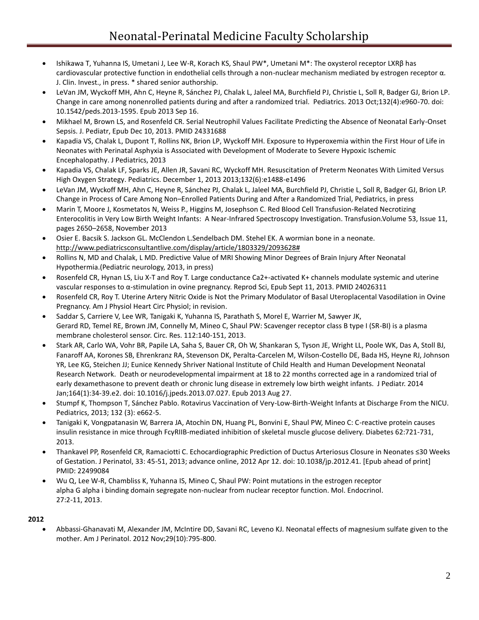- Ishikawa T, Yuhanna IS, Umetani J, Lee W-R, Korach KS, Shaul PW\*, Umetani M\*: The oxysterol receptor LXRβ has cardiovascular protective function in endothelial cells through a non-nuclear mechanism mediated by estrogen receptor α. J. Clin. Invest., in press. \* shared senior authorship.
- LeVan JM, Wyckoff MH, Ahn C, Heyne R, Sánchez PJ, Chalak L, Jaleel MA, Burchfield PJ, Christie L, Soll R, Badger GJ, Brion LP. Change in care among nonenrolled patients during and after a randomized trial. Pediatrics. 2013 Oct;132(4):e960-70. doi: 10.1542/peds.2013-1595. Epub 2013 Sep 16.
- Mikhael M, Brown LS, and Rosenfeld CR. Serial Neutrophil Values Facilitate Predicting the Absence of Neonatal Early-Onset Sepsis. J. Pediatr, Epub Dec 10, 2013. PMID 24331688
- Kapadia VS, Chalak L, Dupont T, Rollins NK, Brion LP, Wyckoff MH. Exposure to Hyperoxemia within the First Hour of Life in Neonates with Perinatal Asphyxia is Associated with Development of Moderate to Severe Hypoxic Ischemic Encephalopathy. J Pediatrics, 2013
- Kapadia VS, Chalak LF, Sparks JE, Allen JR, Savani RC, Wyckoff MH. Resuscitation of Preterm Neonates With Limited Versus High Oxygen Strategy. Pediatrics. December 1, 2013 2013;132(6):e1488-e1496
- LeVan JM, Wyckoff MH, Ahn C, Heyne R, Sánchez PJ, Chalak L, Jaleel MA, Burchfield PJ, Christie L, Soll R, Badger GJ, Brion LP. Change in Process of Care Among Non–Enrolled Patients During and After a Randomized Trial, Pediatrics, in press
- Marin T, Moore J, Kosmetatos N, Weiss P., Higgins M, Josephson C. Red Blood Cell Transfusion-Related Necrotizing Enterocolitis in Very Low Birth Weight Infants: A Near-Infrared Spectroscopy Investigation. Transfusion.Volume 53, Issue 11, pages 2650–2658, November 2013
- Osier E. Bacsik S. Jackson GL. McClendon L.Sendelbach DM. Stehel EK. A wormian bone in a neonate. [http://www.pediatricsconsultantlive.com/display/article/1803329/2093628#](http://www.pediatricsconsultantlive.com/display/article/1803329/2093628)
- Rollins N, MD and Chalak, L MD. Predictive Value of MRI Showing Minor Degrees of Brain Injury After Neonatal Hypothermia.(Pediatric neurology, 2013, in press)
- Rosenfeld CR, Hynan LS, Liu X-T and Roy T. Large conductance Ca2+-activated K+ channels modulate systemic and uterine vascular responses to α-stimulation in ovine pregnancy. Reprod Sci, Epub Sept 11, 2013. PMID 24026311
- Rosenfeld CR, Roy T. Uterine Artery Nitric Oxide is Not the Primary Modulator of Basal Uteroplacental Vasodilation in Ovine Pregnancy. Am J Physiol Heart Circ Physiol; in revision.
- Saddar S, Carriere V, Lee WR, Tanigaki K, Yuhanna IS, Parathath S, Morel E, Warrier M, Sawyer JK, Gerard RD, Temel RE, Brown JM, Connelly M, Mineo C, Shaul PW: Scavenger receptor class B type I (SR-BI) is a plasma membrane cholesterol sensor. Circ. Res. 112:140-151, 2013.
- Stark AR, Carlo WA, Vohr BR, Papile LA, Saha S, Bauer CR, Oh W, Shankaran S, Tyson JE, Wright LL, Poole WK, Das A, Stoll BJ, Fanaroff AA, Korones SB, Ehrenkranz RA, Stevenson DK, Peralta-Carcelen M, Wilson-Costello DE, Bada HS, Heyne RJ, Johnson YR, Lee KG, Steichen JJ; Eunice Kennedy Shriver National Institute of Child Health and Human Development Neonatal Research Network. Death or neurodevelopmental impairment at 18 to 22 months corrected age in a randomized trial of early dexamethasone to prevent death or chronic lung disease in extremely low birth weight infants. J Pediatr. 2014 Jan;164(1):34-39.e2. doi: 10.1016/j.jpeds.2013.07.027. Epub 2013 Aug 27.
- Stumpf K, Thompson T, Sánchez Pablo. Rotavirus Vaccination of Very-Low-Birth-Weight Infants at Discharge From the NICU. Pediatrics, 2013; 132 (3): e662-5.
- Tanigaki K, Vongpatanasin W, Barrera JA, Atochin DN, Huang PL, Bonvini E, Shaul PW, Mineo C: C-reactive protein causes insulin resistance in mice through FcγRIIB-mediated inhibition of skeletal muscle glucose delivery. Diabetes 62:721-731, 2013.
- Thankavel PP, Rosenfeld CR, Ramaciotti C. Echocardiographic Prediction of Ductus Arteriosus Closure in Neonates ≤30 Weeks of Gestation. J Perinatol, 33: 45-51, 2013; advance online, 2012 Apr 12. doi: 10.1038/jp.2012.41. [Epub ahead of print] PMID: 22499084
- Wu Q, Lee W-R, Chambliss K, Yuhanna IS, Mineo C, Shaul PW: Point mutations in the estrogen receptor alpha G alpha i binding domain segregate non-nuclear from nuclear receptor function. Mol. Endocrinol. 27:2-11, 2013.

## **2012**

 Abbassi-Ghanavati M, Alexander JM, McIntire DD, Savani RC, Leveno KJ. Neonatal effects of magnesium sulfate given to the mother. Am J Perinatol. 2012 Nov;29(10):795-800.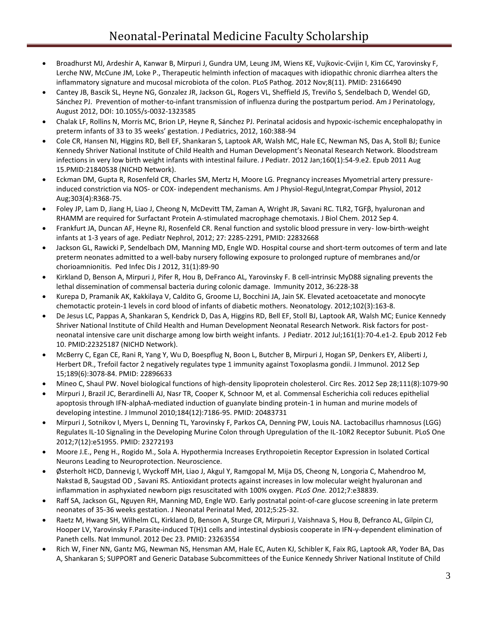- Broadhurst MJ, Ardeshir A, Kanwar B, Mirpuri J, Gundra UM, Leung JM, Wiens KE, Vujkovic-Cvijin I, Kim CC, Yarovinsky F, Lerche NW, McCune JM, Loke P., Therapeutic helminth infection of macaques with idiopathic chronic diarrhea alters the inflammatory signature and mucosal microbiota of the colon. PLoS Pathog. 2012 Nov;8(11). PMID: 23166490
- Cantey JB, Bascik SL, Heyne NG, Gonzalez JR, Jackson GL, Rogers VL, Sheffield JS, Treviño S, Sendelbach D, Wendel GD, Sánchez PJ. Prevention of mother-to-infant transmission of influenza during the postpartum period. Am J Perinatology, August 2012, DOI: 10.1055/s-0032-1323585
- Chalak LF, Rollins N, Morris MC, Brion LP, Heyne R, Sánchez PJ. Perinatal acidosis and hypoxic-ischemic encephalopathy in preterm infants of 33 to 35 weeks' gestation. J Pediatrics, 2012, 160:388-94
- Cole CR, Hansen NI, Higgins RD, Bell EF, Shankaran S, Laptook AR, Walsh MC, Hale EC, Newman NS, Das A, Stoll BJ; Eunice Kennedy Shriver National Institute of Child Health and Human Development's Neonatal Research Network. Bloodstream infections in very low birth weight infants with intestinal failure. J Pediatr. 2012 Jan;160(1):54-9.e2. Epub 2011 Aug 15.PMID:21840538 (NICHD Network).
- Eckman DM, Gupta R, Rosenfeld CR, Charles SM, Mertz H, Moore LG. Pregnancy increases Myometrial artery pressureinduced constriction via NOS- or COX- independent mechanisms. Am J Physiol-Regul,Integrat,Compar Physiol, 2012 Aug;303(4):R368-75.
- Foley JP, Lam D, Jiang H, Liao J, Cheong N, McDevitt TM, Zaman A, Wright JR, Savani RC. TLR2, TGFβ, hyaluronan and RHAMM are required for Surfactant Protein A-stimulated macrophage chemotaxis. J Biol Chem. 2012 Sep 4.
- Frankfurt JA, Duncan AF, Heyne RJ, Rosenfeld CR. Renal function and systolic blood pressure in very- low-birth-weight infants at 1-3 years of age. Pediatr Nephrol, 2012; 27: 2285-2291, PMID: 22832668
- Jackson GL, Rawicki P, Sendelbach DM, Manning MD, Engle WD. Hospital course and short-term outcomes of term and late preterm neonates admitted to a well-baby nursery following exposure to prolonged rupture of membranes and/or chorioamnionitis. Ped Infec Dis J 2012, 31(1):89-90
- Kirkland D, Benson A, Mirpuri J, Pifer R, Hou B, DeFranco AL, Yarovinsky F. B cell-intrinsic MyD88 signaling prevents the lethal dissemination of commensal bacteria during colonic damage. Immunity 2012, 36:228-38
- Kurepa D, Pramanik AK, Kakkilaya V, Caldito G, Groome LJ, Bocchini JA, Jain SK. Elevated acetoacetate and monocyte chemotactic protein-1 levels in cord blood of infants of diabetic mothers. Neonatology. 2012;102(3):163-8.
- De Jesus LC, Pappas A, Shankaran S, Kendrick D, Das A, Higgins RD, Bell EF, Stoll BJ, Laptook AR, Walsh MC; Eunice Kennedy Shriver National Institute of Child Health and Human Development Neonatal Research Network. Risk factors for postneonatal intensive care unit discharge among low birth weight infants. J Pediatr. 2012 Jul;161(1):70-4.e1-2. Epub 2012 Feb 10. PMID:22325187 (NICHD Network).
- McBerry C, Egan CE, Rani R, Yang Y, Wu D, Boespflug N, Boon L, Butcher B, Mirpuri J, Hogan SP, Denkers EY, Aliberti J, Herbert DR., Trefoil factor 2 negatively regulates type 1 immunity against Toxoplasma gondii. J Immunol. 2012 Sep 15;189(6):3078-84. PMID: 22896633
- Mineo C, Shaul PW. Novel biological functions of high-density lipoprotein cholesterol. Circ Res. 2012 Sep 28;111(8):1079-90
- Mirpuri J, Brazil JC, Berardinelli AJ, Nasr TR, Cooper K, Schnoor M, et al. Commensal Escherichia coli reduces epithelial apoptosis through IFN-alphaA-mediated induction of guanylate binding protein-1 in human and murine models of developing intestine. J Immunol 2010;184(12):7186-95. PMID: 20483731
- Mirpuri J, Sotnikov I, Myers L, Denning TL, Yarovinsky F, Parkos CA, Denning PW, Louis NA. Lactobacillus rhamnosus (LGG) Regulates IL-10 Signaling in the Developing Murine Colon through Upregulation of the IL-10R2 Receptor Subunit. PLoS One 2012;7(12):e51955. PMID: 23272193
- Moore J.E., Peng H., Rogido M., Sola A. Hypothermia Increases Erythropoietin Receptor Expression in Isolated Cortical Neurons Leading to Neuroprotection. Neuroscience.
- Østerholt HCD, Dannevig I, Wyckoff MH, Liao J, Akgul Y, Ramgopal M, Mija DS, Cheong N, Longoria C, Mahendroo M, Nakstad B, Saugstad OD , Savani RS. Antioxidant protects against increases in low molecular weight hyaluronan and inflammation in asphyxiated newborn pigs resuscitated with 100% oxygen. *PLoS One.* 2012;7:e38839.
- Raff SA, Jackson GL, Nguyen RH, Manning MD, Engle WD. Early postnatal point-of-care glucose screening in late preterm neonates of 35-36 weeks gestation. J Neonatal Perinatal Med, 2012;5:25-32.
- Raetz M, Hwang SH, Wilhelm CL, Kirkland D, Benson A, Sturge CR, Mirpuri J, Vaishnava S, Hou B, Defranco AL, Gilpin CJ, Hooper LV, Yarovinsky F.Parasite-induced T(H)1 cells and intestinal dysbiosis cooperate in IFN-γ-dependent elimination of Paneth cells. Nat Immunol. 2012 Dec 23. PMID: 23263554
- Rich W, Finer NN, Gantz MG, Newman NS, Hensman AM, Hale EC, Auten KJ, Schibler K, Faix RG, Laptook AR, Yoder BA, Das A, Shankaran S; SUPPORT and Generic Database Subcommittees of the Eunice Kennedy Shriver National Institute of Child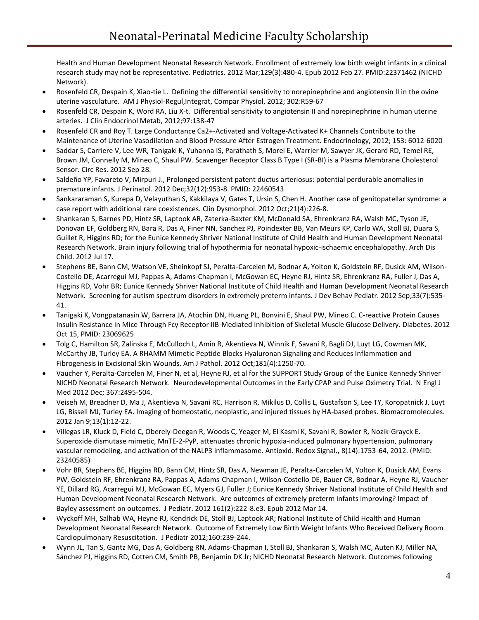Health and Human Development Neonatal Research Network. Enrollment of extremely low birth weight infants in a clinical research study may not be representative. Pediatrics. 2012 Mar;129(3):480-4. Epub 2012 Feb 27. PMID:22371462 (NICHD Network).

- Rosenfeld CR, Despain K, Xiao-tie L. Defining the differential sensitivity to norepinephrine and angiotensin II in the ovine uterine vasculature. AM J Physiol-Regul,Integrat, Compar Physiol, 2012; 302:R59-67
- Rosenfeld CR, Despain K, Word RA, Liu X-t. Differential sensitivity to angiotensin II and norepinephrine in human uterine arteries. J Clin Endocrinol Metab, 2012;97:138-47
- Rosenfeld CR and Roy T. Large Conductance Ca2+-Activated and Voltage-Activated K+ Channels Contribute to the Maintenance of Uterine Vasodilation and Blood Pressure After Estrogen Treatment. Endocrinology, 2012; 153: 6012-6020
- Saddar S, Carriere V, Lee WR, Tanigaki K, Yuhanna IS, Parathath S, Morel E, Warrier M, Sawyer JK, Gerard RD, Temel RE, Brown JM, Connelly M, Mineo C, Shaul PW. Scavenger Receptor Class B Type I (SR-BI) is a Plasma Membrane Cholesterol Sensor. Circ Res. 2012 Sep 28.
- Saldeño YP, Favareto V, Mirpuri J., Prolonged persistent patent ductus arteriosus: potential perdurable anomalies in premature infants. J Perinatol. 2012 Dec;32(12):953-8. PMID: 22460543
- Sankararaman S, Kurepa D, Velayuthan S, Kakkilaya V, Gates T, Ursin S, Chen H. Another case of genitopatellar syndrome: a case report with additional rare coexistences. Clin Dysmorphol. 2012 Oct;21(4):226-8.
- Shankaran S, Barnes PD, Hintz SR, Laptook AR, Zaterka-Baxter KM, McDonald SA, Ehrenkranz RA, Walsh MC, Tyson JE, Donovan EF, Goldberg RN, Bara R, Das A, Finer NN, Sanchez PJ, Poindexter BB, Van Meurs KP, Carlo WA, Stoll BJ, Duara S, Guillet R, Higgins RD; for the Eunice Kennedy Shriver National Institute of Child Health and Human Development Neonatal Research Network. Brain injury following trial of hypothermia for neonatal hypoxic-ischaemic encephalopathy. Arch Dis Child. 2012 Jul 17.
- Stephens BE, Bann CM, Watson VE, Sheinkopf SJ, Peralta-Carcelen M, Bodnar A, Yolton K, Goldstein RF, Dusick AM, Wilson-Costello DE, Acarregui MJ, Pappas A, Adams-Chapman I, McGowan EC, Heyne RJ, Hintz SR, Ehrenkranz RA, Fuller J, Das A, Higgins RD, Vohr BR; Eunice Kennedy Shriver National Institute of Child Health and Human Development Neonatal Research Network. Screening for autism spectrum disorders in extremely preterm infants. J Dev Behav Pediatr. 2012 Sep;33(7):535- 41.
- Tanigaki K, Vongpatanasin W, Barrera JA, Atochin DN, Huang PL, Bonvini E, Shaul PW, Mineo C. C-reactive Protein Causes Insulin Resistance in Mice Through Fcγ Receptor IIB-Mediated Inhibition of Skeletal Muscle Glucose Delivery. Diabetes. 2012 Oct 15, PMID: 23069625
- Tolg C, Hamilton SR, Zalinska E, McCulloch L, Amin R, Akentieva N, Winnik F, Savani R, Bagli DJ, Luyt LG, Cowman MK, McCarthy JB, Turley EA. A RHAMM Mimetic Peptide Blocks Hyaluronan Signaling and Reduces Inflammation and Fibrogenesis in Excisional Skin Wounds. Am J Pathol. 2012 Oct;181(4):1250-70.
- Vaucher Y, Peralta-Carcelen M, Finer N, et al, Heyne RJ, et al for the SUPPORT Study Group of the Eunice Kennedy Shriver NICHD Neonatal Research Network. Neurodevelopmental Outcomes in the Early CPAP and Pulse Oximetry Trial. N Engl J Med 2012 Dec; 367:2495-504.
- Veiseh M, Breadner D, Ma J, Akentieva N, Savani RC, Harrison R, Mikilus D, Collis L, Gustafson S, Lee TY, Koropatnick J, Luyt LG, Bissell MJ, Turley EA. Imaging of homeostatic, neoplastic, and injured tissues by HA-based probes. Biomacromolecules. 2012 Jan 9;13(1):12-22.
- Villegas LR, Kluck D, Field C, Oberely-Deegan R, Woods C, Yeager M, El Kasmi K, Savani R, Bowler R, Nozik-Grayck E. Superoxide dismutase mimetic, MnTE-2-PyP, attenuates chronic hypoxia-induced pulmonary hypertension, pulmonary vascular remodeling, and activation of the NALP3 inflammasome. Antioxid. Redox Signal., 8(14):1753-64, 2012. (PMID: 23240585)
- Vohr BR, Stephens BE, Higgins RD, Bann CM, Hintz SR, Das A, Newman JE, Peralta-Carcelen M, Yolton K, Dusick AM, Evans PW, Goldstein RF, Ehrenkranz RA, Pappas A, Adams-Chapman I, Wilson-Costello DE, Bauer CR, Bodnar A, Heyne RJ, Vaucher YE, Dillard RG, Acarregui MJ, McGowan EC, Myers GJ, Fuller J; Eunice Kennedy Shriver National Institute of Child Health and Human Development Neonatal Research Network. Are outcomes of extremely preterm infants improving? Impact of Bayley assessment on outcomes. J Pediatr. 2012 161(2):222-8.e3. Epub 2012 Mar 14.
- Wyckoff MH, Salhab WA, Heyne RJ, Kendrick DE, Stoll BJ, Laptook AR; National Institute of Child Health and Human Development Neonatal Research Network. [Outcome of Extremely Low Birth Weight Infants Who Received Delivery Room](http://www.ncbi.nlm.nih.gov/pubmed/21930284)  [Cardiopulmonary Resuscitation.](http://www.ncbi.nlm.nih.gov/pubmed/21930284) J Pediatr 2012;160:239-244.
- Wynn JL, Tan S, Gantz MG, Das A, Goldberg RN, Adams-Chapman I, Stoll BJ, Shankaran S, Walsh MC, Auten KJ, Miller NA, Sánchez PJ, Higgins RD, Cotten CM, Smith PB, Benjamin DK Jr; NICHD Neonatal Research Network. Outcomes following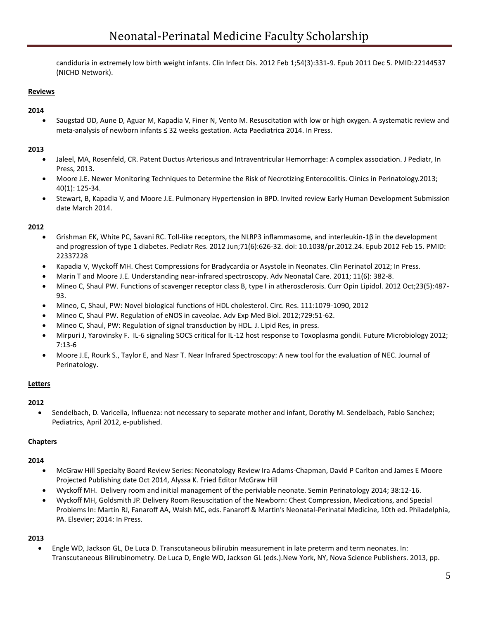candiduria in extremely low birth weight infants. Clin Infect Dis. 2012 Feb 1;54(3):331-9. Epub 2011 Dec 5. PMID:22144537 (NICHD Network).

### **Reviews**

### **2014**

 Saugstad OD, Aune D, Aguar M, Kapadia V, Finer N, Vento M. Resuscitation with low or high oxygen. A systematic review and meta-analysis of newborn infants ≤ 32 weeks gestation. Acta Paediatrica 2014. In Press.

### **2013**

- Jaleel, MA, Rosenfeld, CR. Patent Ductus Arteriosus and Intraventricular Hemorrhage: A complex association. J Pediatr, In Press, 2013.
- Moore J.E. Newer Monitoring Techniques to Determine the Risk of Necrotizing Enterocolitis. Clinics in Perinatology.2013; 40(1): 125-34.
- Stewart, B, Kapadia V, and Moore J.E. Pulmonary Hypertension in BPD. Invited review Early Human Development Submission date March 2014.

### **2012**

- Grishman EK, White PC, Savani RC. Toll-like receptors, the NLRP3 inflammasome, and interleukin-1β in the development and progression of type 1 diabetes. Pediatr Res. 2012 Jun;71(6):626-32. doi: 10.1038/pr.2012.24. Epub 2012 Feb 15. PMID: 22337228
- Kapadia V, Wyckoff MH. Chest Compressions for Bradycardia or Asystole in Neonates. Clin Perinatol 2012; In Press.
- Marin T and Moore J.E. Understanding near-infrared spectroscopy. Adv Neonatal Care. 2011; 11(6): 382-8.
- Mineo C, Shaul PW. Functions of scavenger receptor class B, type I in atherosclerosis. Curr Opin Lipidol. 2012 Oct;23(5):487- 93.
- Mineo, C, Shaul, PW: Novel biological functions of HDL cholesterol. Circ. Res. 111:1079-1090, 2012
- Mineo C, Shaul PW. Regulation of eNOS in caveolae. Adv Exp Med Biol. 2012;729:51-62.
- Mineo C, Shaul, PW: Regulation of signal transduction by HDL. J. Lipid Res, in press.
- Mirpuri J, Yarovinsky F. IL-6 signaling SOCS critical for IL-12 host response to Toxoplasma gondii. Future Microbiology 2012; 7:13-6
- Moore J.E, Rourk S., Taylor E, and Nasr T. Near Infrared Spectroscopy: A new tool for the evaluation of NEC. Journal of Perinatology.

### **Letters**

### **2012**

 Sendelbach, D. Varicella, Influenza: not necessary to separate mother and infant, Dorothy M. Sendelbach, Pablo Sanchez; Pediatrics, April 2012, e-published.

### **Chapters**

### **2014**

- McGraw Hill Specialty Board Review Series: Neonatology Review Ira Adams-Chapman, David P Carlton and James E Moore Projected Publishing date Oct 2014, Alyssa K. Fried Editor McGraw Hill
- Wyckoff MH. Delivery room and initial management of the periviable neonate. Semin Perinatology 2014; 38:12-16.
- Wyckoff MH, Goldsmith JP. Delivery Room Resuscitation of the Newborn: Chest Compression, Medications, and Special Problems In: Martin RJ, Fanaroff AA, Walsh MC, eds. Fanaroff & Martin's Neonatal-Perinatal Medicine, 10th ed. Philadelphia, PA. Elsevier; 2014: In Press.

### **2013**

 Engle WD, Jackson GL, De Luca D. Transcutaneous bilirubin measurement in late preterm and term neonates. In: Transcutaneous Bilirubinometry. De Luca D, Engle WD, Jackson GL (eds.).New York, NY, Nova Science Publishers. 2013, pp.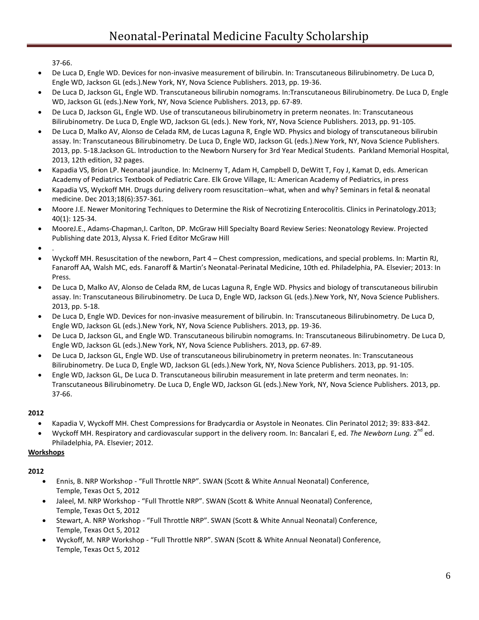37-66.

- De Luca D, Engle WD. Devices for non-invasive measurement of bilirubin. In: Transcutaneous Bilirubinometry. De Luca D, Engle WD, Jackson GL (eds.).New York, NY, Nova Science Publishers. 2013, pp. 19-36.
- De Luca D, Jackson GL, Engle WD. Transcutaneous bilirubin nomograms. In:Transcutaneous Bilirubinometry. De Luca D, Engle WD, Jackson GL (eds.).New York, NY, Nova Science Publishers. 2013, pp. 67-89.
- De Luca D, Jackson GL, Engle WD. Use of transcutaneous bilirubinometry in preterm neonates. In: Transcutaneous Bilirubinometry. De Luca D, Engle WD, Jackson GL (eds.). New York, NY, Nova Science Publishers. 2013, pp. 91-105.
- De Luca D, Malko AV, Alonso de Celada RM, de Lucas Laguna R, Engle WD. Physics and biology of transcutaneous bilirubin assay. In: Transcutaneous Bilirubinometry. De Luca D, Engle WD, Jackson GL (eds.).New York, NY, Nova Science Publishers. 2013, pp. 5-18.Jackson GL. Introduction to the Newborn Nursery for 3rd Year Medical Students. Parkland Memorial Hospital, 2013, 12th edition, 32 pages.
- Kapadia VS, Brion LP. Neonatal jaundice. In: McInerny T, Adam H, Campbell D, DeWitt T, Foy J, Kamat D, eds. American Academy of Pediatrics Textbook of Pediatric Care. Elk Grove Village, IL: American Academy of Pediatrics, in press
- Kapadia VS, Wyckoff MH. Drugs during delivery room resuscitation--what, when and why? Seminars in fetal & neonatal medicine. Dec 2013;18(6):357-361.
- Moore J.E. Newer Monitoring Techniques to Determine the Risk of Necrotizing Enterocolitis. Clinics in Perinatology.2013; 40(1): 125-34.
- MooreJ.E., Adams-Chapman,I. Carlton, DP. McGraw Hill Specialty Board Review Series: Neonatology Review. Projected Publishing date 2013, Alyssa K. Fried Editor McGraw Hill

 $\bullet$ 

- Wyckoff MH. Resuscitation of the newborn, Part 4 Chest compression, medications, and special problems. In: Martin RJ, Fanaroff AA, Walsh MC, eds. Fanaroff & Martin's Neonatal-Perinatal Medicine, 10th ed. Philadelphia, PA. Elsevier; 2013: In Press.
- De Luca D, Malko AV, Alonso de Celada RM, de Lucas Laguna R, Engle WD. Physics and biology of transcutaneous bilirubin assay. In: Transcutaneous Bilirubinometry. De Luca D, Engle WD, Jackson GL (eds.).New York, NY, Nova Science Publishers. 2013, pp. 5-18.
- De Luca D, Engle WD. Devices for non-invasive measurement of bilirubin. In: Transcutaneous Bilirubinometry. De Luca D, Engle WD, Jackson GL (eds.).New York, NY, Nova Science Publishers. 2013, pp. 19-36.
- De Luca D, Jackson GL, and Engle WD. Transcutaneous bilirubin nomograms. In: Transcutaneous Bilirubinometry. De Luca D, Engle WD, Jackson GL (eds.).New York, NY, Nova Science Publishers. 2013, pp. 67-89.
- De Luca D, Jackson GL, Engle WD. Use of transcutaneous bilirubinometry in preterm neonates. In: Transcutaneous Bilirubinometry. De Luca D, Engle WD, Jackson GL (eds.).New York, NY, Nova Science Publishers. 2013, pp. 91-105.
- Engle WD, Jackson GL, De Luca D. Transcutaneous bilirubin measurement in late preterm and term neonates. In: Transcutaneous Bilirubinometry. De Luca D, Engle WD, Jackson GL (eds.).New York, NY, Nova Science Publishers. 2013, pp. 37-66.

## **2012**

- Kapadia V, Wyckoff MH. Chest Compressions for Bradycardia or Asystole in Neonates. Clin Perinatol 2012; 39: 833-842.
- Wyckoff MH. Respiratory and cardiovascular support in the delivery room. In: Bancalari E, ed. The Newborn Lung. 2<sup>nd</sup> ed. Philadelphia, PA. Elsevier; 2012.

## **Workshops**

- Ennis, B. NRP Workshop "Full Throttle NRP". SWAN (Scott & White Annual Neonatal) Conference, Temple, Texas Oct 5, 2012
- Jaleel, M. NRP Workshop "Full Throttle NRP". SWAN (Scott & White Annual Neonatal) Conference, Temple, Texas Oct 5, 2012
- Stewart, A. NRP Workshop "Full Throttle NRP". SWAN (Scott & White Annual Neonatal) Conference, Temple, Texas Oct 5, 2012
- Wyckoff, M. NRP Workshop "Full Throttle NRP". SWAN (Scott & White Annual Neonatal) Conference, Temple, Texas Oct 5, 2012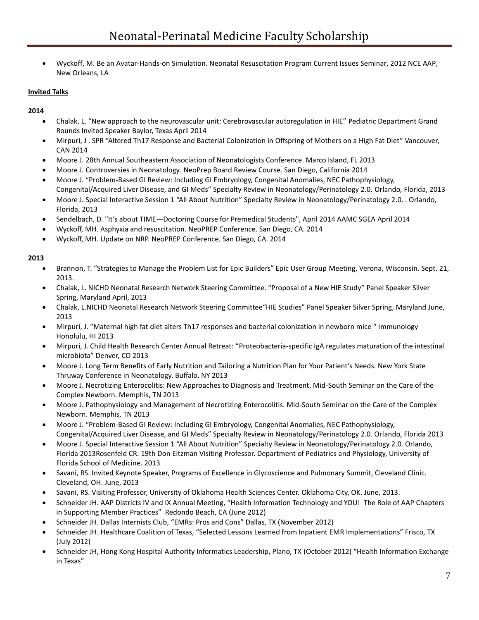Wyckoff, M. Be an Avatar-Hands-on Simulation. Neonatal Resuscitation Program Current Issues Seminar, 2012 NCE AAP, New Orleans, LA

## **Invited Talks**

### **2014**

- Chalak, L. "New approach to the neurovascular unit: Cerebrovascular autoregulation in HIE" Pediatric Department Grand Rounds Invited Speaker Baylor, Texas April 2014
- Mirpuri, J . SPR "Altered Th17 Response and Bacterial Colonization in Offspring of Mothers on a High Fat Diet" Vancouver, CAN 2014
- Moore J. 28th Annual Southeastern Association of Neonatologists Conference. Marco Island, FL 2013
- Moore J. Controversies in Neonatology. NeoPrep Board Review Course. San Diego, California 2014
- Moore J. "Problem-Based GI Review: Including GI Embryology, Congenital Anomalies, NEC Pathophysiology, Congenital/Acquired Liver Disease, and GI Meds" Specialty Review in Neonatology/Perinatology 2.0. Orlando, Florida, 2013
- Moore J. Special Interactive Session 1 "All About Nutrition" Specialty Review in Neonatology/Perinatology 2.0. . Orlando, Florida, 2013
- Sendelbach, D. "It's about TIME—Doctoring Course for Premedical Students", April 2014 AAMC SGEA April 2014
- Wyckoff, MH. Asphyxia and resuscitation. NeoPREP Conference. San Diego, CA. 2014
- Wyckoff, MH. Update on NRP. NeoPREP Conference. San Diego, CA. 2014

- Brannon, T. "Strategies to Manage the Problem List for Epic Builders" Epic User Group Meeting, Verona, Wisconsin. Sept. 21, 2013.
- Chalak, L. NICHD Neonatal Research Network Steering Committee. "Proposal of a New HIE Study" Panel Speaker Silver Spring, Maryland April, 2013
- Chalak, L.NICHD Neonatal Research Network Steering Committee"HIE Studies" Panel Speaker Silver Spring, Maryland June, 2013
- Mirpuri, J. "Maternal high fat diet alters Th17 responses and bacterial colonization in newborn mice " Immunology Honolulu, HI 2013
- Mirpuri, J. Child Health Research Center Annual Retreat: "Proteobacteria-specific IgA regulates maturation of the intestinal microbiota" Denver, CO 2013
- Moore J. Long Term Benefits of Early Nutrition and Tailoring a Nutrition Plan for Your Patient's Needs. New York State Thruway Conference in Neonatology. Buffalo, NY 2013
- Moore J. Necrotizing Enterocolitis: New Approaches to Diagnosis and Treatment. Mid-South Seminar on the Care of the Complex Newborn. Memphis, TN 2013
- Moore J. Pathophysiology and Management of Necrotizing Enterocolitis. Mid-South Seminar on the Care of the Complex Newborn. Memphis, TN 2013
- Moore J. "Problem-Based GI Review: Including GI Embryology, Congenital Anomalies, NEC Pathophysiology, Congenital/Acquired Liver Disease, and GI Meds" Specialty Review in Neonatology/Perinatology 2.0. Orlando, Florida 2013
- Moore J. Special Interactive Session 1 "All About Nutrition" Specialty Review in Neonatology/Perinatology 2.0. Orlando, Florida 2013Rosenfeld CR. 19th Don Eitzman Visiting Professor. Department of Pediatrics and Physiology, University of Florida School of Medicine. 2013
- Savani, RS. Invited Keynote Speaker, Programs of Excellence in Glycoscience and Pulmonary Summit, Cleveland Clinic. Cleveland, OH. June, 2013
- Savani, RS. Visiting Professor, University of Oklahoma Health Sciences Center. Oklahoma City, OK. June, 2013.
- Schneider JH. AAP Districts IV and IX Annual Meeting, "Health Information Technology and YOU! The Role of AAP Chapters in Supporting Member Practices" Redondo Beach, CA (June 2012)
- Schneider JH. Dallas Internists Club, "EMRs: Pros and Cons" Dallas, TX (November 2012)
- Schneider JH. Healthcare Coalition of Texas, "Selected Lessons Learned from Inpatient EMR Implementations" Frisco, TX (July 2012)
- Schneider JH, Hong Kong Hospital Authority Informatics Leadership, Plano, TX (October 2012) "Health Information Exchange in Texas"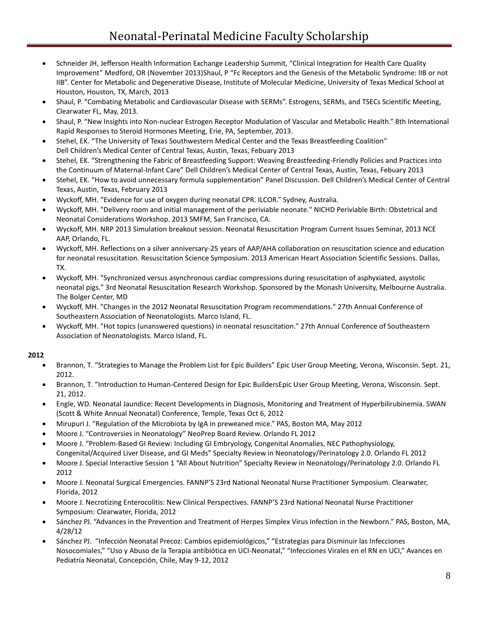- Schneider JH, Jefferson Health Information Exchange Leadership Summit, "Clinical Integration for Health Care Quality Improvement" Medford, OR (November 2013)Shaul, P "Fc Receptors and the Genesis of the Metabolic Syndrome: IIB or not IIB". Center for Metabolic and Degenerative Disease, Institute of Molecular Medicine, University of Texas Medical School at Houston, Houston, TX, March, 2013
- Shaul, P. "Combating Metabolic and Cardiovascular Disease with SERMs". Estrogens, SERMs, and TSECs Scientific Meeting, Clearwater FL, May, 2013.
- Shaul, P. "New Insights into Non-nuclear Estrogen Receptor Modulation of Vascular and Metabolic Health." 8th International Rapid Responses to Steroid Hormones Meeting, Erie, PA, September, 2013.
- Stehel, EK. "The University of Texas Southwestern Medical Center and the Texas Breastfeeding Coalition" Dell Children's Medical Center of Central Texas, Austin, Texas, Febuary 2013
- Stehel, EK. "Strengthening the Fabric of Breastfeeding Support: Weaving Breastfeeding-Friendly Policies and Practices into the Continuum of Maternal-Infant Care" Dell Children's Medical Center of Central Texas, Austin, Texas, Febuary 2013
- Stehel, EK. "How to avoid unnecessary formula supplementation" Panel Discussion. Dell Children's Medical Center of Central Texas, Austin, Texas, February 2013
- Wyckoff, MH. "Evidence for use of oxygen during neonatal CPR. ILCOR." Sydney, Australia.
- Wyckoff, MH. "Delivery room and initial management of the periviable neonate." NICHD Periviable Birth: Obstetrical and Neonatal Considerations Workshop. 2013 SMFM, San Francisco, CA.
- Wyckoff, MH. NRP 2013 Simulation breakout session. Neonatal Resuscitation Program Current Issues Seminar, 2013 NCE AAP, Orlando, FL.
- Wyckoff, MH. Reflections on a silver anniversary-25 years of AAP/AHA collaboration on resuscitation science and education for neonatal resuscitation. Resuscitation Science Symposium. 2013 American Heart Association Scientific Sessions. Dallas, TX.
- Wyckoff, MH. "Synchronized versus asynchronous cardiac compressions during resuscitation of asphyxiated, asystolic neonatal pigs." 3rd Neonatal Resuscitation Research Workshop. Sponsored by the Monash University, Melbourne Australia. The Bolger Center, MD
- Wyckoff, MH. "Changes in the 2012 Neonatal Resuscitation Program recommendations." 27th Annual Conference of Southeastern Association of Neonatologists. Marco Island, FL.
- Wyckoff, MH. "Hot topics (unanswered questions) in neonatal resuscitation." 27th Annual Conference of Southeastern Association of Neonatologists. Marco Island, FL.

- Brannon, T. "Strategies to Manage the Problem List for Epic Builders" Epic User Group Meeting, Verona, Wisconsin. Sept. 21, 2012.
- Brannon, T. "Introduction to Human-Centered Design for Epic BuildersEpic User Group Meeting, Verona, Wisconsin. Sept. 21, 2012.
- Engle, WD. Neonatal Jaundice: Recent Developments in Diagnosis, Monitoring and Treatment of Hyperbilirubinemia. SWAN (Scott & White Annual Neonatal) Conference, Temple, Texas Oct 6, 2012
- Mirupuri J. "Regulation of the Microbiota by IgA in preweaned mice." PAS, Boston MA, May 2012
- Moore J. "Controversies in Neonatology" NeoPrep Board Review. Orlando FL 2012
- Moore J. "Problem-Based GI Review: Including GI Embryology, Congenital Anomalies, NEC Pathophysiology, Congenital/Acquired Liver Disease, and GI Meds" Specialty Review in Neonatology/Perinatology 2.0. Orlando FL 2012
- Moore J. Special Interactive Session 1 "All About Nutrition" Specialty Review in Neonatology/Perinatology 2.0. Orlando FL 2012
- Moore J. Neonatal Surgical Emergencies. FANNP'S 23rd National Neonatal Nurse Practitioner Symposium. Clearwater, Florida, 2012
- Moore J. Necrotizing Enterocolitis: New Clinical Perspectives. FANNP'S 23rd National Neonatal Nurse Practitioner Symposium: Clearwater, Florida, 2012
- Sánchez PJ. "Advances in the Prevention and Treatment of Herpes Simplex Virus Infection in the Newborn." PAS, Boston, MA, 4/28/12
- Sánchez PJ. "Infección Neonatal Precoz: Cambios epidemiológicos," "Estrategias para Disminuir las Infecciones Nosocomiales," "Uso y Abuso de la Terapia antibiótica en UCI-Neonatal," "Infecciones Virales en el RN en UCI," Avances en Pediatría Neonatal, Concepción, Chile, May 9-12, 2012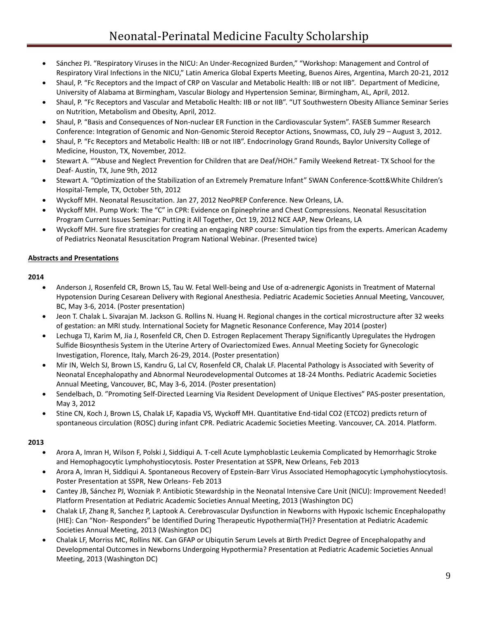- Sánchez PJ. "Respiratory Viruses in the NICU: An Under-Recognized Burden," "Workshop: Management and Control of Respiratory Viral Infections in the NICU," Latin America Global Experts Meeting, Buenos Aires, Argentina, March 20-21, 2012
- Shaul, P. "Fc Receptors and the Impact of CRP on Vascular and Metabolic Health: IIB or not IIB". Department of Medicine, University of Alabama at Birmingham, Vascular Biology and Hypertension Seminar, Birmingham, AL, April, 2012.
- Shaul, P. "Fc Receptors and Vascular and Metabolic Health: IIB or not IIB". "UT Southwestern Obesity Alliance Seminar Series on Nutrition, Metabolism and Obesity, April, 2012.
- Shaul, P. "Basis and Consequences of Non-nuclear ER Function in the Cardiovascular System". FASEB Summer Research Conference: Integration of Genomic and Non-Genomic Steroid Receptor Actions, Snowmass, CO, July 29 – August 3, 2012.
- Shaul, P. "Fc Receptors and Metabolic Health: IIB or not IIB". Endocrinology Grand Rounds, Baylor University College of Medicine, Houston, TX, November, 2012.
- Stewart A. ""Abuse and Neglect Prevention for Children that are Deaf/HOH." Family Weekend Retreat- TX School for the Deaf- Austin, TX, June 9th, 2012
- Stewart A. "Optimization of the Stabilization of an Extremely Premature Infant" SWAN Conference-Scott&White Children's Hospital-Temple, TX, October 5th, 2012
- Wyckoff MH. Neonatal Resuscitation. Jan 27, 2012 NeoPREP Conference. New Orleans, LA.
- Wyckoff MH. Pump Work: The "C" in CPR: Evidence on Epinephrine and Chest Compressions. Neonatal Resuscitation Program Current Issues Seminar: Putting it All Together, Oct 19, 2012 NCE AAP, New Orleans, LA
- Wyckoff MH. Sure fire strategies for creating an engaging NRP course: Simulation tips from the experts. American Academy of Pediatrics Neonatal Resuscitation Program National Webinar. (Presented twice)

### **Abstracts and Presentations**

#### **2014**

- Anderson J, Rosenfeld CR, Brown LS, Tau W. Fetal Well-being and Use of α-adrenergic Agonists in Treatment of Maternal Hypotension During Cesarean Delivery with Regional Anesthesia. Pediatric Academic Societies Annual Meeting, Vancouver, BC, May 3-6, 2014. (Poster presentation)
- Jeon T. Chalak L. Sivarajan M. Jackson G. Rollins N. Huang H. Regional changes in the cortical microstructure after 32 weeks of gestation: an MRI study. International Society for Magnetic Resonance Conference, May 2014 (poster)
- Lechuga TJ, Karim M, Jia J, Rosenfeld CR, Chen D. Estrogen Replacement Therapy Significantly Upregulates the Hydrogen Sulfide Biosynthesis System in the Uterine Artery of Ovariectomized Ewes. Annual Meeting Society for Gynecologic Investigation, Florence, Italy, March 26-29, 2014. (Poster presentation)
- Mir IN, Welch SJ, Brown LS, Kandru G, Lal CV, Rosenfeld CR, Chalak LF. Placental Pathology is Associated with Severity of Neonatal Encephalopathy and Abnormal Neurodevelopmental Outcomes at 18-24 Months. Pediatric Academic Societies Annual Meeting, Vancouver, BC, May 3-6, 2014. (Poster presentation)
- Sendelbach, D. "Promoting Self-Directed Learning Via Resident Development of Unique Electives" PAS-poster presentation, May 3, 2012
- Stine CN, Koch J, Brown LS, Chalak LF, Kapadia VS, Wyckoff MH. Quantitative End-tidal CO2 (ETCO2) predicts return of spontaneous circulation (ROSC) during infant CPR. Pediatric Academic Societies Meeting. Vancouver, CA. 2014. Platform.

- Arora A, Imran H, Wilson F, Polski J, Siddiqui A. T-cell Acute Lymphoblastic Leukemia Complicated by Hemorrhagic Stroke and Hemophagocytic Lymphohystiocytosis. Poster Presentation at SSPR, New Orleans, Feb 2013
- Arora A, Imran H, Siddiqui A. Spontaneous Recovery of Epstein-Barr Virus Associated Hemophagocytic Lymphohystiocytosis. Poster Presentation at SSPR, New Orleans- Feb 2013
- Cantey JB, Sánchez PJ, Wozniak P. Antibiotic Stewardship in the Neonatal Intensive Care Unit (NICU): Improvement Needed! Platform Presentation at Pediatric Academic Societies Annual Meeting, 2013 (Washington DC)
- Chalak LF, Zhang R, Sanchez P, Laptook A. Cerebrovascular Dysfunction in Newborns with Hypoxic Ischemic Encephalopathy (HIE): Can "Non- Responders" be Identified During Therapeutic Hypothermia(TH)? Presentation at Pediatric Academic Societies Annual Meeting, 2013 (Washington DC)
- Chalak LF, Morriss MC, Rollins NK. Can GFAP or Ubiqutin Serum Levels at Birth Predict Degree of Encephalopathy and Developmental Outcomes in Newborns Undergoing Hypothermia? Presentation at Pediatric Academic Societies Annual Meeting, 2013 (Washington DC)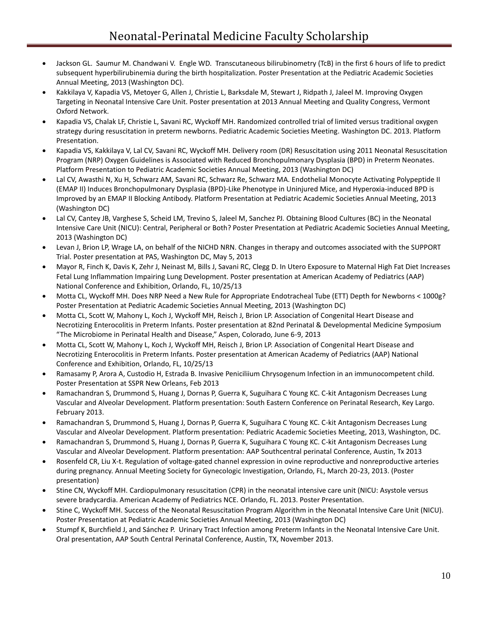- Jackson GL. Saumur M. Chandwani V. Engle WD. Transcutaneous bilirubinometry (TcB) in the first 6 hours of life to predict subsequent hyperbilirubinemia during the birth hospitalization. Poster Presentation at the Pediatric Academic Societies Annual Meeting, 2013 (Washington DC).
- Kakkilaya V, Kapadia VS, Metoyer G, Allen J, Christie L, Barksdale M, Stewart J, Ridpath J, Jaleel M. Improving Oxygen Targeting in Neonatal Intensive Care Unit. Poster presentation at 2013 Annual Meeting and Quality Congress, Vermont Oxford Network.
- Kapadia VS, Chalak LF, Christie L, Savani RC, Wyckoff MH. Randomized controlled trial of limited versus traditional oxygen strategy during resuscitation in preterm newborns. Pediatric Academic Societies Meeting. Washington DC. 2013. Platform Presentation.
- Kapadia VS, Kakkilaya V, Lal CV, Savani RC, Wyckoff MH. Delivery room (DR) Resuscitation using 2011 Neonatal Resuscitation Program (NRP) Oxygen Guidelines is Associated with Reduced Bronchopulmonary Dysplasia (BPD) in Preterm Neonates. Platform Presentation to Pediatric Academic Societies Annual Meeting, 2013 (Washington DC)
- Lal CV, Awasthi N, Xu H, Schwarz AM, Savani RC, Schwarz Re, Schwarz MA. Endothelial Monocyte Activating Polypeptide II (EMAP II) Induces Bronchopulmonary Dysplasia (BPD)-Like Phenotype in Uninjured Mice, and Hyperoxia-induced BPD is Improved by an EMAP II Blocking Antibody. Platform Presentation at Pediatric Academic Societies Annual Meeting, 2013 (Washington DC)
- Lal CV, Cantey JB, Varghese S, Scheid LM, Trevino S, Jaleel M, Sanchez PJ. Obtaining Blood Cultures (BC) in the Neonatal Intensive Care Unit (NICU): Central, Peripheral or Both? Poster Presentation at Pediatric Academic Societies Annual Meeting, 2013 (Washington DC)
- Levan J, Brion LP, Wrage LA, on behalf of the NICHD NRN. Changes in therapy and outcomes associated with the SUPPORT Trial. Poster presentation at PAS, Washington DC, May 5, 2013
- Mayor R, Finch K, Davis K, Zehr J, Neinast M, Bills J, Savani RC, Clegg D. In Utero Exposure to Maternal High Fat Diet Increases Fetal Lung Inflammation Impairing Lung Development. Poster presentation at American Academy of Pediatrics (AAP) National Conference and Exhibition, Orlando, FL, 10/25/13
- Motta CL, Wyckoff MH. Does NRP Need a New Rule for Appropriate Endotracheal Tube (ETT) Depth for Newborns < 1000g? Poster Presentation at Pediatric Academic Societies Annual Meeting, 2013 (Washington DC)
- Motta CL, Scott W, Mahony L, Koch J, Wyckoff MH, Reisch J, Brion LP. Association of Congenital Heart Disease and Necrotizing Enterocolitis in Preterm Infants. Poster presentation at 82nd Perinatal & Developmental Medicine Symposium "The Microbiome in Perinatal Health and Disease," Aspen, Colorado, June 6-9, 2013
- Motta CL, Scott W, Mahony L, Koch J, Wyckoff MH, Reisch J, Brion LP. Association of Congenital Heart Disease and Necrotizing Enterocolitis in Preterm Infants. Poster presentation at American Academy of Pediatrics (AAP) National Conference and Exhibition, Orlando, FL, 10/25/13
- Ramasamy P, Arora A, Custodio H, Estrada B. Invasive Peniciliium Chrysogenum Infection in an immunocompetent child. Poster Presentation at SSPR New Orleans, Feb 2013
- Ramachandran S, Drummond S, Huang J, Dornas P, Guerra K, Suguihara C Young KC. C-kit Antagonism Decreases Lung Vascular and Alveolar Development. Platform presentation: South Eastern Conference on Perinatal Research, Key Largo. February 2013.
- Ramachandran S, Drummond S, Huang J, Dornas P, Guerra K, Suguihara C Young KC. C-kit Antagonism Decreases Lung Vascular and Alveolar Development. Platform presentation: Pediatric Academic Societies Meeting, 2013, Washington, DC.
- Ramachandran S, Drummond S, Huang J, Dornas P, Guerra K, Suguihara C Young KC. C-kit Antagonism Decreases Lung Vascular and Alveolar Development. Platform presentation: AAP Southcentral perinatal Conference, Austin, Tx 2013
- Rosenfeld CR, Liu X-t. Regulation of voltage-gated channel expression in ovine reproductive and nonreproductive arteries during pregnancy. Annual Meeting Society for Gynecologic Investigation, Orlando, FL, March 20-23, 2013. (Poster presentation)
- Stine CN, Wyckoff MH. Cardiopulmonary resuscitation (CPR) in the neonatal intensive care unit (NICU: Asystole versus severe bradycardia. American Academy of Pediatrics NCE. Orlando, FL. 2013. Poster Presentation.
- Stine C, Wyckoff MH. Success of the Neonatal Resuscitation Program Algorithm in the Neonatal Intensive Care Unit (NICU). Poster Presentation at Pediatric Academic Societies Annual Meeting, 2013 (Washington DC)
- Stumpf K, Burchfield J, and Sánchez P. Urinary Tract Infection among Preterm Infants in the Neonatal Intensive Care Unit. Oral presentation, AAP South Central Perinatal Conference, Austin, TX, November 2013.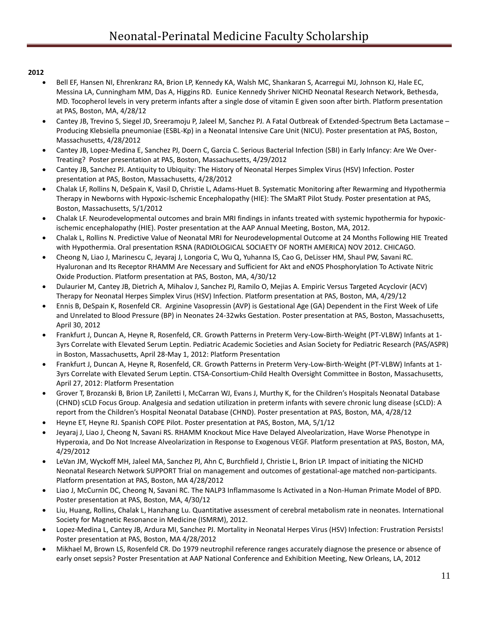- Bell EF, Hansen NI, Ehrenkranz RA, Brion LP, Kennedy KA, Walsh MC, Shankaran S, Acarregui MJ, Johnson KJ, Hale EC, Messina LA, Cunningham MM, Das A, Higgins RD. Eunice Kennedy Shriver NICHD Neonatal Research Network, Bethesda, MD. Tocopherol levels in very preterm infants after a single dose of vitamin E given soon after birth. Platform presentation at PAS, Boston, MA, 4/28/12
- Cantey JB, Trevino S, Siegel JD, Sreeramoju P, Jaleel M, Sanchez PJ. A Fatal Outbreak of Extended-Spectrum Beta Lactamase Producing Klebsiella pneumoniae (ESBL-Kp) in a Neonatal Intensive Care Unit (NICU). Poster presentation at PAS, Boston, Massachusetts, 4/28/2012
- Cantey JB, Lopez-Medina E, Sanchez PJ, Doern C, Garcia C. Serious Bacterial Infection (SBI) in Early Infancy: Are We Over-Treating? Poster presentation at PAS, Boston, Massachusetts, 4/29/2012
- Cantey JB, Sanchez PJ. Antiquity to Ubiquity: The History of Neonatal Herpes Simplex Virus (HSV) Infection. Poster presentation at PAS, Boston, Massachusetts, 4/28/2012
- Chalak LF, Rollins N, DeSpain K, Vasil D, Christie L, Adams-Huet B. Systematic Monitoring after Rewarming and Hypothermia Therapy in Newborns with Hypoxic-Ischemic Encephalopathy (HIE): The SMaRT Pilot Study. Poster presentation at PAS, Boston, Massachusetts, 5/1/2012
- Chalak LF. Neurodevelopmental outcomes and brain MRI findings in infants treated with systemic hypothermia for hypoxicischemic encephalopathy (HIE). Poster presentation at the AAP Annual Meeting, Boston, MA, 2012.
- Chalak L, Rollins N. Predictive Value of Neonatal MRI for Neurodevelopmental Outcome at 24 Months Following HIE Treated with Hypothermia. Oral presentation RSNA (RADIOLOGICAL SOCIAETY OF NORTH AMERICA) NOV 2012. CHICAGO.
- Cheong N, Liao J, Marinescu C, Jeyaraj J, Longoria C, Wu Q, Yuhanna IS, Cao G, DeLisser HM, Shaul PW, Savani RC. Hyaluronan and Its Receptor RHAMM Are Necessary and Sufficient for Akt and eNOS Phosphorylation To Activate Nitric Oxide Production. Platform presentation at PAS, Boston, MA, 4/30/12
- Dulaurier M, Cantey JB, Dietrich A, Mihalov J, Sanchez PJ, Ramilo O, Mejias A. Empiric Versus Targeted Acyclovir (ACV) Therapy for Neonatal Herpes Simplex Virus (HSV) Infection. Platform presentation at PAS, Boston, MA, 4/29/12
- Ennis B, DeSpain K, Rosenfeld CR.Arginine Vasopressin (AVP) is Gestational Age (GA) Dependent in the First Week of Life and Unrelated to Blood Pressure (BP) in Neonates 24-32wks Gestation. Poster presentation at PAS, Boston, Massachusetts, April 30, 2012
- Frankfurt J, Duncan A, Heyne R, Rosenfeld, CR. Growth Patterns in Preterm Very-Low-Birth-Weight (PT-VLBW) Infants at 1- 3yrs Correlate with Elevated Serum Leptin. Pediatric Academic Societies and Asian Society for Pediatric Research (PAS/ASPR) in Boston, Massachusetts, April 28-May 1, 2012: Platform Presentation
- Frankfurt J, Duncan A, Heyne R, Rosenfeld, CR. Growth Patterns in Preterm Very-Low-Birth-Weight (PT-VLBW) Infants at 1- 3yrs Correlate with Elevated Serum Leptin. CTSA-Consortium-Child Health Oversight Committee in Boston, Massachusetts, April 27, 2012: Platform Presentation
- Grover T, Brozanski B, Brion LP, Zaniletti I, McCarran WJ, Evans J, Murthy K, for the Children's Hospitals Neonatal Database (CHND) sCLD Focus Group. Analgesia and sedation utilization in preterm infants with severe chronic lung disease (sCLD): A report from the Children's Hospital Neonatal Database (CHND). Poster presentation at PAS, Boston, MA, 4/28/12
- Heyne ET, Heyne RJ. Spanish COPE Pilot. Poster presentation at PAS, Boston, MA, 5/1/12
- Jeyaraj J, Liao J, Cheong N, Savani RS. RHAMM Knockout Mice Have Delayed Alveolarization, Have Worse Phenotype in Hyperoxia, and Do Not Increase Alveolarization in Response to Exogenous VEGF. Platform presentation at PAS, Boston, MA, 4/29/2012
- LeVan JM, Wyckoff MH, Jaleel MA, Sanchez PJ, Ahn C, Burchfield J, Christie L, Brion LP. Impact of initiating the NICHD Neonatal Research Network SUPPORT Trial on management and outcomes of gestational-age matched non-participants. Platform presentation at PAS, Boston, MA 4/28/2012
- Liao J, McCurnin DC, Cheong N, Savani RC. The NALP3 Inflammasome Is Activated in a Non-Human Primate Model of BPD. Poster presentation at PAS, Boston, MA, 4/30/12
- Liu, Huang, Rollins, Chalak L, Hanzhang Lu. Quantitative assessment of cerebral metabolism rate in neonates. International Society for Magnetic Resonance in Medicine (ISMRM), 2012.
- Lopez-Medina L, Cantey JB, Ardura MI, Sanchez PJ. Mortality in Neonatal Herpes Virus (HSV) Infection: Frustration Persists! Poster presentation at PAS, Boston, MA 4/28/2012
- Mikhael M, Brown LS, Rosenfeld CR. Do 1979 neutrophil reference ranges accurately diagnose the presence or absence of early onset sepsis? Poster Presentation at AAP National Conference and Exhibition Meeting, New Orleans, LA, 2012